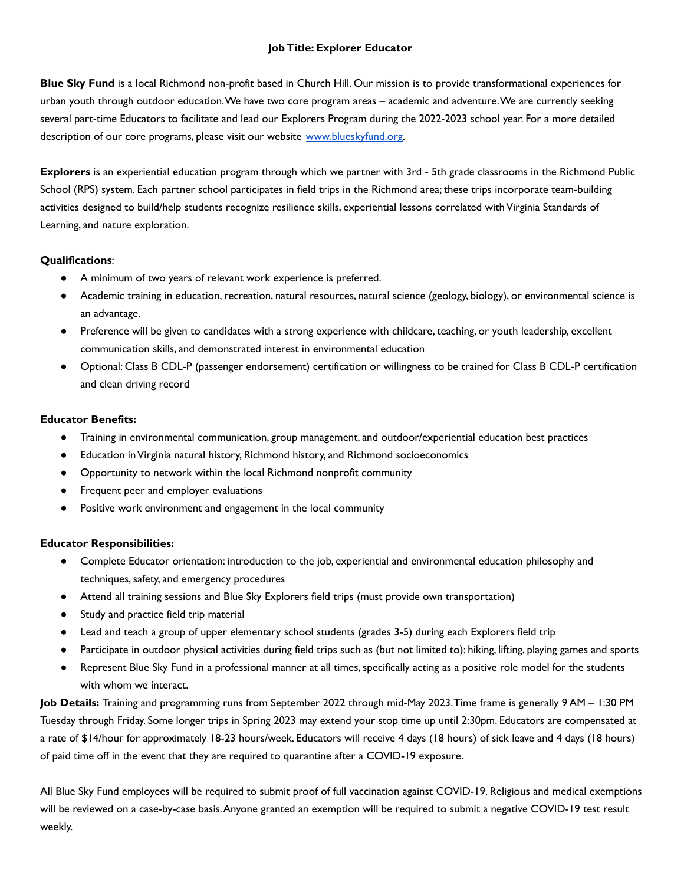## **JobTitle: Explorer Educator**

**Blue Sky Fund** is a local Richmond non-profit based in Church Hill. Our mission is to provide transformational experiences for urban youth through outdoor education.We have two core program areas – academic and adventure.We are currently seeking several part-time Educators to facilitate and lead our Explorers Program during the 2022-2023 school year. For a more detailed description of our core programs, please visit our website [www.blueskyfund.org.](http://www.blueskyfund.org)

**Explorers** is an experiential education program through which we partner with 3rd - 5th grade classrooms in the Richmond Public School (RPS) system. Each partner school participates in field trips in the Richmond area; these trips incorporate team-building activities designed to build/help students recognize resilience skills, experiential lessons correlated withVirginia Standards of Learning, and nature exploration.

## **Qualifications**:

- A minimum of two years of relevant work experience is preferred.
- Academic training in education, recreation, natural resources, natural science (geology, biology), or environmental science is an advantage.
- Preference will be given to candidates with a strong experience with childcare, teaching, or youth leadership, excellent communication skills, and demonstrated interest in environmental education
- Optional: Class B CDL-P (passenger endorsement) certification or willingness to be trained for Class B CDL-P certification and clean driving record

## **Educator Benefits:**

- Training in environmental communication, group management, and outdoor/experiential education best practices
- Education in Virginia natural history, Richmond history, and Richmond socioeconomics
- Opportunity to network within the local Richmond nonprofit community
- Frequent peer and employer evaluations
- Positive work environment and engagement in the local community

## **Educator Responsibilities:**

- Complete Educator orientation: introduction to the job, experiential and environmental education philosophy and techniques, safety, and emergency procedures
- Attend all training sessions and Blue Sky Explorers field trips (must provide own transportation)
- Study and practice field trip material
- Lead and teach a group of upper elementary school students (grades 3-5) during each Explorers field trip
- Participate in outdoor physical activities during field trips such as (but not limited to): hiking, lifting, playing games and sports
- Represent Blue Sky Fund in a professional manner at all times, specifically acting as a positive role model for the students with whom we interact.

**Job Details:** Training and programming runs from September 2022 through mid-May 2023.Time frame is generally 9 AM – 1:30 PM Tuesday through Friday. Some longer trips in Spring 2023 may extend your stop time up until 2:30pm. Educators are compensated at a rate of \$14/hour for approximately 18-23 hours/week. Educators will receive 4 days (18 hours) of sick leave and 4 days (18 hours) of paid time off in the event that they are required to quarantine after a COVID-19 exposure.

All Blue Sky Fund employees will be required to submit proof of full vaccination against COVID-19. Religious and medical exemptions will be reviewed on a case-by-case basis.Anyone granted an exemption will be required to submit a negative COVID-19 test result weekly.